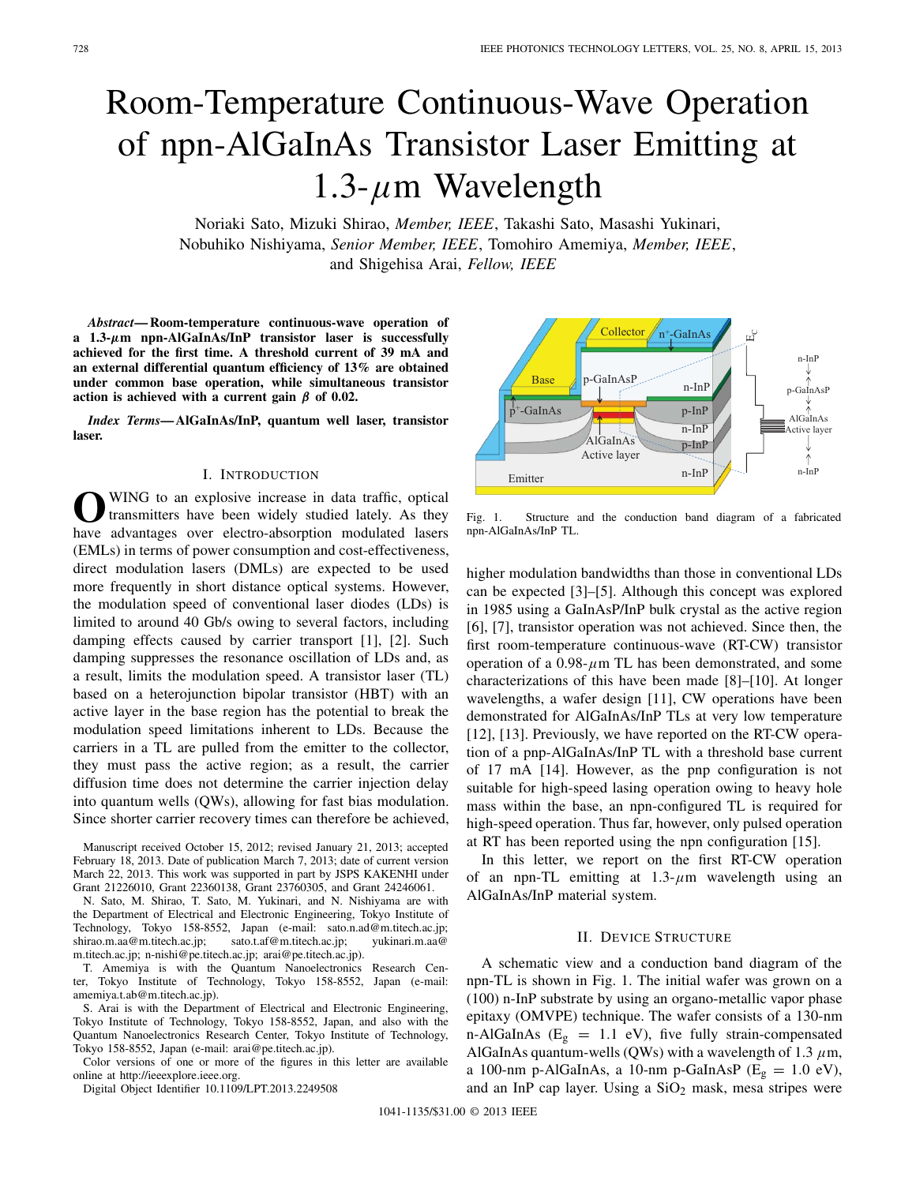# Room-Temperature Continuous-Wave Operation of npn-AlGaInAs Transistor Laser Emitting at 1.3- $\mu$ m Wavelength

Noriaki Sato, Mizuki Shirao, *Member, IEEE*, Takashi Sato, Masashi Yukinari, Nobuhiko Nishiyama, *Senior Member, IEEE*, Tomohiro Amemiya, *Member, IEEE*, and Shigehisa Arai, *Fellow, IEEE*

*Abstract***— Room-temperature continuous-wave operation of a 1.3-***μ***m npn-AlGaInAs/InP transistor laser is successfully achieved for the first time. A threshold current of 39 mA and an external differential quantum efficiency of 13% are obtained under common base operation, while simultaneous transistor action is achieved with a current gain** *β* **of 0.02.**

*Index Terms***— AlGaInAs/InP, quantum well laser, transistor laser.**

## I. INTRODUCTION

**O**WING to an explosive increase in data traffic, optical transmitters have been widely studied lately. As they have advantages over electro-absorption modulated lasers (EMLs) in terms of power consumption and cost-effectiveness, direct modulation lasers (DMLs) are expected to be used more frequently in short distance optical systems. However, the modulation speed of conventional laser diodes (LDs) is limited to around 40 Gb/s owing to several factors, including damping effects caused by carrier transport [1], [2]. Such damping suppresses the resonance oscillation of LDs and, as a result, limits the modulation speed. A transistor laser (TL) based on a heterojunction bipolar transistor (HBT) with an active layer in the base region has the potential to break the modulation speed limitations inherent to LDs. Because the carriers in a TL are pulled from the emitter to the collector, they must pass the active region; as a result, the carrier diffusion time does not determine the carrier injection delay into quantum wells (QWs), allowing for fast bias modulation. Since shorter carrier recovery times can therefore be achieved,

Manuscript received October 15, 2012; revised January 21, 2013; accepted February 18, 2013. Date of publication March 7, 2013; date of current version March 22, 2013. This work was supported in part by JSPS KAKENHI under Grant 21226010, Grant 22360138, Grant 23760305, and Grant 24246061.

N. Sato, M. Shirao, T. Sato, M. Yukinari, and N. Nishiyama are with the Department of Electrical and Electronic Engineering, Tokyo Institute of Technology, Tokyo 158-8552, Japan (e-mail: sato.n.ad@m.titech.ac.jp; shirao.m.aa@m.titech.ac.jp; sato.t.af@m.titech.ac.jp; yukinari.m.aa@ m.titech.ac.jp; n-nishi@pe.titech.ac.jp; arai@pe.titech.ac.jp).

T. Amemiya is with the Quantum Nanoelectronics Research Center, Tokyo Institute of Technology, Tokyo 158-8552, Japan (e-mail: amemiya.t.ab@m.titech.ac.jp).

S. Arai is with the Department of Electrical and Electronic Engineering, Tokyo Institute of Technology, Tokyo 158-8552, Japan, and also with the Quantum Nanoelectronics Research Center, Tokyo Institute of Technology, Tokyo 158-8552, Japan (e-mail: arai@pe.titech.ac.jp).

Color versions of one or more of the figures in this letter are available online at http://ieeexplore.ieee.org.

Digital Object Identifier 10.1109/LPT.2013.2249508



Fig. 1. Structure and the conduction band diagram of a fabricated npn-AlGaInAs/InP TL.

higher modulation bandwidths than those in conventional LDs can be expected [3]–[5]. Although this concept was explored in 1985 using a GaInAsP/InP bulk crystal as the active region [6], [7], transistor operation was not achieved. Since then, the first room-temperature continuous-wave (RT-CW) transistor operation of a  $0.98 - \mu$ m TL has been demonstrated, and some characterizations of this have been made [8]–[10]. At longer wavelengths, a wafer design [11], CW operations have been demonstrated for AlGaInAs/InP TLs at very low temperature [12], [13]. Previously, we have reported on the RT-CW operation of a pnp-AlGaInAs/InP TL with a threshold base current of 17 mA [14]. However, as the pnp configuration is not suitable for high-speed lasing operation owing to heavy hole mass within the base, an npn-configured TL is required for high-speed operation. Thus far, however, only pulsed operation at RT has been reported using the npn configuration [15].

In this letter, we report on the first RT-CW operation of an npn-TL emitting at  $1.3$ - $\mu$ m wavelength using an AlGaInAs/InP material system.

## II. DEVICE STRUCTURE

A schematic view and a conduction band diagram of the npn-TL is shown in Fig. 1. The initial wafer was grown on a (100) n-InP substrate by using an organo-metallic vapor phase epitaxy (OMVPE) technique. The wafer consists of a 130-nm n-AlGaInAs ( $E<sub>g</sub> = 1.1$  eV), five fully strain-compensated AlGaInAs quantum-wells (QWs) with a wavelength of 1.3  $\mu$ m, a 100-nm p-AlGaInAs, a 10-nm p-GaInAsP ( $E<sub>g</sub> = 1.0$  eV), and an InP cap layer. Using a  $SiO<sub>2</sub>$  mask, mesa stripes were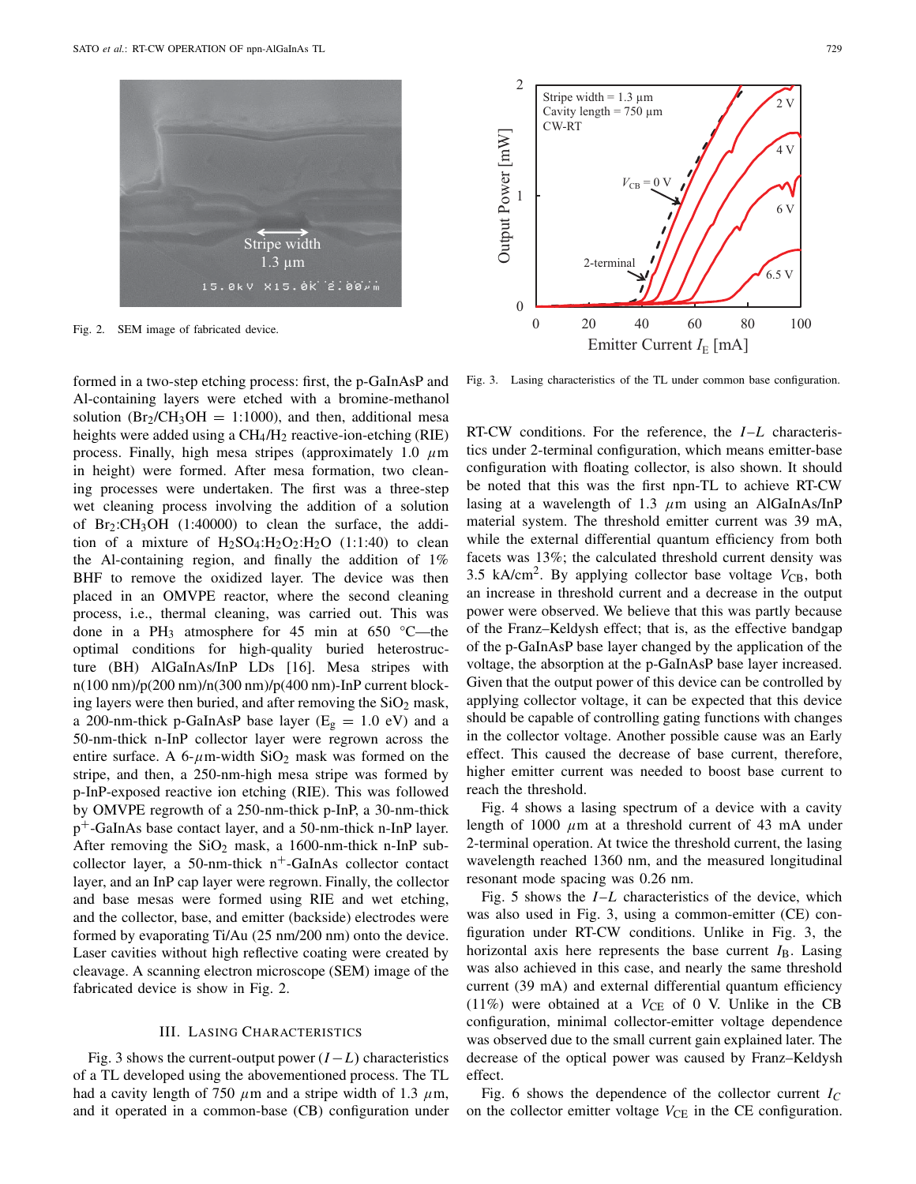

Fig. 2. SEM image of fabricated device.

formed in a two-step etching process: first, the p-GaInAsP and Al-containing layers were etched with a bromine-methanol solution ( $Br_2/CH_3OH = 1:1000$ ), and then, additional mesa heights were added using a CH<sub>4</sub>/H<sub>2</sub> reactive-ion-etching (RIE) process. Finally, high mesa stripes (approximately 1.0  $\mu$ m in height) were formed. After mesa formation, two cleaning processes were undertaken. The first was a three-step wet cleaning process involving the addition of a solution of  $Br_2:CH_3OH$  (1:40000) to clean the surface, the addition of a mixture of  $H_2SO_4:H_2O_2:H_2O$  (1:1:40) to clean the Al-containing region, and finally the addition of 1% BHF to remove the oxidized layer. The device was then placed in an OMVPE reactor, where the second cleaning process, i.e., thermal cleaning, was carried out. This was done in a PH<sub>3</sub> atmosphere for 45 min at 650 °C—the optimal conditions for high-quality buried heterostructure (BH) AlGaInAs/InP LDs [16]. Mesa stripes with n(100 nm)/p(200 nm)/n(300 nm)/p(400 nm)-InP current blocking layers were then buried, and after removing the  $SiO<sub>2</sub>$  mask, a 200-nm-thick p-GaInAsP base layer ( $E<sub>g</sub> = 1.0$  eV) and a 50-nm-thick n-InP collector layer were regrown across the entire surface. A 6- $\mu$ m-width SiO<sub>2</sub> mask was formed on the stripe, and then, a 250-nm-high mesa stripe was formed by p-InP-exposed reactive ion etching (RIE). This was followed by OMVPE regrowth of a 250-nm-thick p-InP, a 30-nm-thick p+-GaInAs base contact layer, and a 50-nm-thick n-InP layer. After removing the  $SiO<sub>2</sub>$  mask, a 1600-nm-thick n-InP subcollector layer, a 50-nm-thick  $n^+$ -GaInAs collector contact layer, and an InP cap layer were regrown. Finally, the collector and base mesas were formed using RIE and wet etching, and the collector, base, and emitter (backside) electrodes were formed by evaporating Ti/Au (25 nm/200 nm) onto the device. Laser cavities without high reflective coating were created by cleavage. A scanning electron microscope (SEM) image of the fabricated device is show in Fig. 2.

#### III. LASING CHARACTERISTICS

Fig. 3 shows the current-output power (*I* −*L*) characteristics of a TL developed using the abovementioned process. The TL had a cavity length of 750  $\mu$ m and a stripe width of 1.3  $\mu$ m, and it operated in a common-base (CB) configuration under



Fig. 3. Lasing characteristics of the TL under common base configuration.

RT-CW conditions. For the reference, the *I*–*L* characteristics under 2-terminal configuration, which means emitter-base configuration with floating collector, is also shown. It should be noted that this was the first npn-TL to achieve RT-CW lasing at a wavelength of 1.3  $\mu$ m using an AlGaInAs/InP material system. The threshold emitter current was 39 mA, while the external differential quantum efficiency from both facets was 13%; the calculated threshold current density was 3.5 kA/cm<sup>2</sup>. By applying collector base voltage  $V_{CB}$ , both an increase in threshold current and a decrease in the output power were observed. We believe that this was partly because of the Franz–Keldysh effect; that is, as the effective bandgap of the p-GaInAsP base layer changed by the application of the voltage, the absorption at the p-GaInAsP base layer increased. Given that the output power of this device can be controlled by applying collector voltage, it can be expected that this device should be capable of controlling gating functions with changes in the collector voltage. Another possible cause was an Early effect. This caused the decrease of base current, therefore, higher emitter current was needed to boost base current to reach the threshold.

Fig. 4 shows a lasing spectrum of a device with a cavity length of 1000  $\mu$ m at a threshold current of 43 mA under 2-terminal operation. At twice the threshold current, the lasing wavelength reached 1360 nm, and the measured longitudinal resonant mode spacing was 0.26 nm.

Fig. 5 shows the *I*–*L* characteristics of the device, which was also used in Fig. 3, using a common-emitter (CE) configuration under RT-CW conditions. Unlike in Fig. 3, the horizontal axis here represents the base current  $I_B$ . Lasing was also achieved in this case, and nearly the same threshold current (39 mA) and external differential quantum efficiency (11%) were obtained at a  $V_{CE}$  of 0 V. Unlike in the CB configuration, minimal collector-emitter voltage dependence was observed due to the small current gain explained later. The decrease of the optical power was caused by Franz–Keldysh effect.

Fig. 6 shows the dependence of the collector current *IC* on the collector emitter voltage  $V_{\text{CE}}$  in the CE configuration.